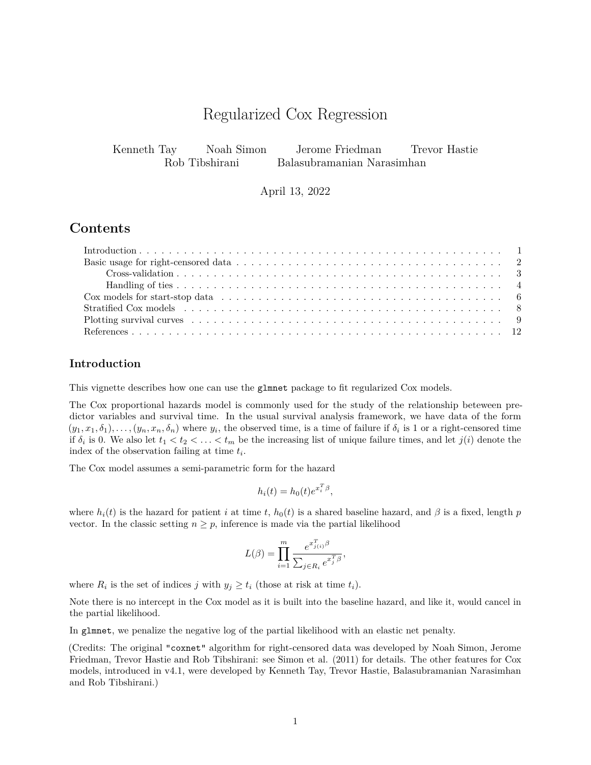# Regularized Cox Regression

Kenneth Tay Noah Simon Jerome Friedman Trevor Hastie Rob Tibshirani Balasubramanian Narasimhan

April 13, 2022

# **Contents**

### <span id="page-0-0"></span>**Introduction**

This vignette describes how one can use the glmnet package to fit regularized Cox models.

The Cox proportional hazards model is commonly used for the study of the relationship beteween predictor variables and survival time. In the usual survival analysis framework, we have data of the form  $(y_1, x_1, \delta_1), \ldots, (y_n, x_n, \delta_n)$  where  $y_i$ , the observed time, is a time of failure if  $\delta_i$  is 1 or a right-censored time if  $\delta_i$  is 0. We also let  $t_1 < t_2 < \ldots < t_m$  be the increasing list of unique failure times, and let  $j(i)$  denote the index of the observation failing at time *t<sup>i</sup>* .

The Cox model assumes a semi-parametric form for the hazard

$$
h_i(t) = h_0(t)e^{x_i^T \beta},
$$

where  $h_i(t)$  is the hazard for patient *i* at time *t*,  $h_0(t)$  is a shared baseline hazard, and  $\beta$  is a fixed, length *p* vector. In the classic setting  $n \geq p$ , inference is made via the partial likelihood

$$
L(\beta) = \prod_{i=1}^m \frac{e^{x_{j(i)}^T \beta}}{\sum_{j \in R_i} e^{x_j^T \beta}},
$$

where  $R_i$  is the set of indices *j* with  $y_j \ge t_i$  (those at risk at time  $t_i$ ).

Note there is no intercept in the Cox model as it is built into the baseline hazard, and like it, would cancel in the partial likelihood.

In glmnet, we penalize the negative log of the partial likelihood with an elastic net penalty.

(Credits: The original "coxnet" algorithm for right-censored data was developed by Noah Simon, Jerome Friedman, Trevor Hastie and Rob Tibshirani: see Simon et al. [\(2011\)](#page-11-1) for details. The other features for Cox models, introduced in v4.1, were developed by Kenneth Tay, Trevor Hastie, Balasubramanian Narasimhan and Rob Tibshirani.)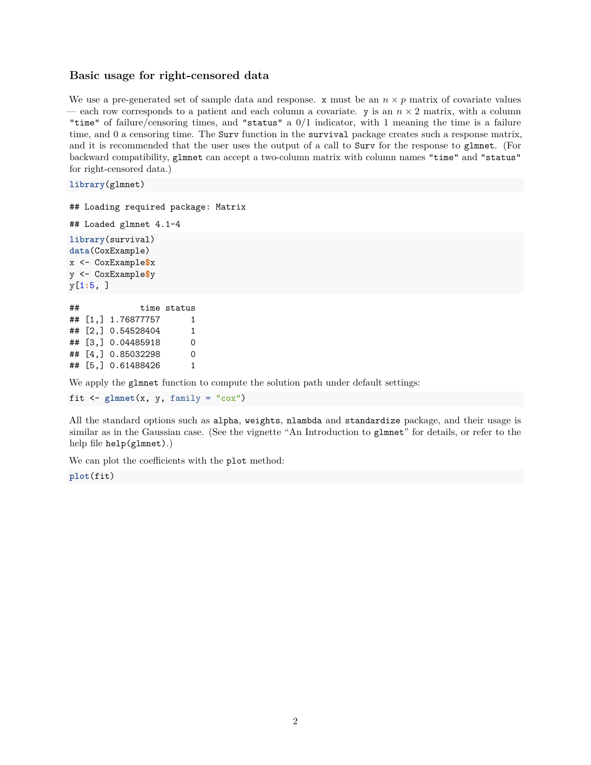#### <span id="page-1-0"></span>**Basic usage for right-censored data**

We use a pre-generated set of sample data and response.  $x$  must be an  $n \times p$  matrix of covariate values — each row corresponds to a patient and each column a covariate.  $y$  is an  $n \times 2$  matrix, with a column "time" of failure/censoring times, and "status" a 0/1 indicator, with 1 meaning the time is a failure time, and 0 a censoring time. The Surv function in the survival package creates such a response matrix, and it is recommended that the user uses the output of a call to Surv for the response to glmnet. (For backward compatibility, glmnet can accept a two-column matrix with column names "time" and "status" for right-censored data.)

**library**(glmnet)

## Loading required package: Matrix

```
## Loaded glmnet 4.1-4
```
**library**(survival) **data**(CoxExample) x <- CoxExample**\$**x y <- CoxExample**\$**y y[1**:**5, ]

```
## time status
## [1,] 1.76877757 1
## [2,] 0.54528404 1
## [3,] 0.04485918 0
## [4,] 0.85032298 0
## [5,] 0.61488426 1
```
We apply the glmnet function to compute the solution path under default settings:

fit  $\leq$  glmnet(x, y, family = " $\cos$ ")

All the standard options such as alpha, weights, nlambda and standardize package, and their usage is similar as in the Gaussian case. (See the vignette ["An Introduction to](https://glmnet.stanford.edu/articles/glmnet.html) glmnet" for details, or refer to the help file help(glmnet).)

We can plot the coefficients with the plot method:

**plot**(fit)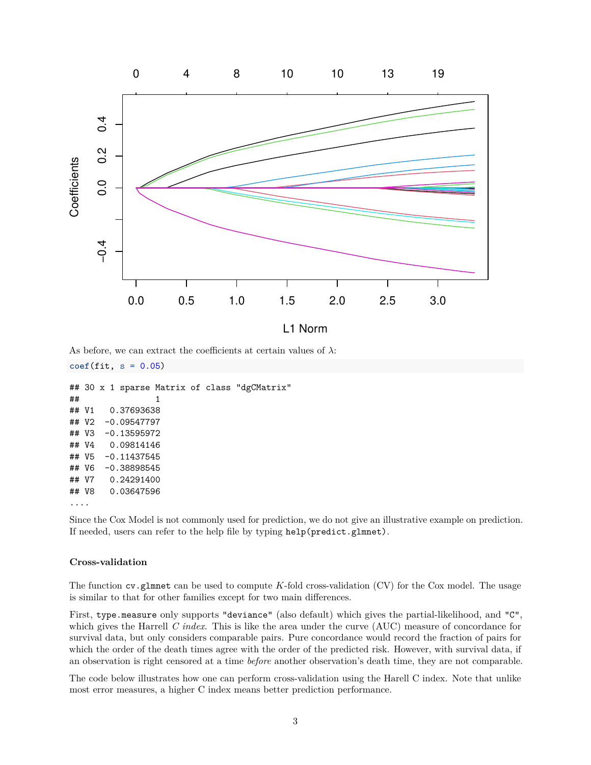

As before, we can extract the coefficients at certain values of  $\lambda$ :

```
coef(fit, s = 0.05)
```

```
## 30 x 1 sparse Matrix of class "dgCMatrix"
\# \# \qquad \qquad \qquad \qquad \qquad \qquad \qquad \qquad \qquad \qquad \qquad \qquad \qquad \qquad \qquad \qquad \qquad \qquad \qquad \qquad \qquad \qquad \qquad \qquad \qquad \qquad \qquad \qquad \qquad \qquad \qquad \qquad \qquad \qquad \qquad ## V1 0.37693638
## V2 -0.09547797
## V3 -0.13595972
## V4 0.09814146
## V5 -0.11437545
## V6 -0.38898545
## V7 0.24291400
## V8 0.03647596
....
```
Since the Cox Model is not commonly used for prediction, we do not give an illustrative example on prediction. If needed, users can refer to the help file by typing help(predict.glmnet).

### <span id="page-2-0"></span>**Cross-validation**

The function cv.glmnet can be used to compute *K*-fold cross-validation (CV) for the Cox model. The usage is similar to that for other families except for two main differences.

First, type.measure only supports "deviance" (also default) which gives the partial-likelihood, and "C", which gives the Harrell *C index*. This is like the area under the curve (AUC) measure of concordance for survival data, but only considers comparable pairs. Pure concordance would record the fraction of pairs for which the order of the death times agree with the order of the predicted risk. However, with survival data, if an observation is right censored at a time *before* another observation's death time, they are not comparable.

The code below illustrates how one can perform cross-validation using the Harell C index. Note that unlike most error measures, a higher C index means better prediction performance.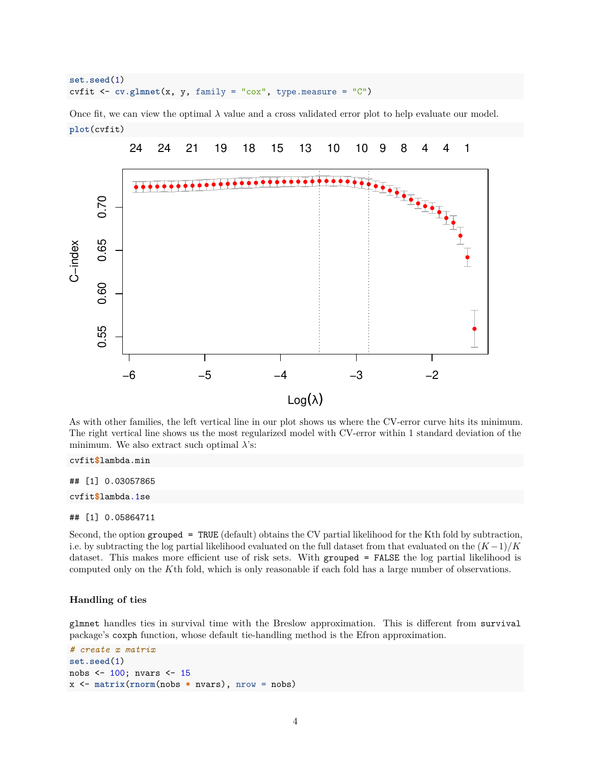```
set.seed(1)
cvfit <- cv.glmnet(x, y, family = "cox", type.measure = "C")
```
Once fit, we can view the optimal  $\lambda$  value and a cross validated error plot to help evaluate our model. **plot**(cvfit)



As with other families, the left vertical line in our plot shows us where the CV-error curve hits its minimum. The right vertical line shows us the most regularized model with CV-error within 1 standard deviation of the minimum. We also extract such optimal *λ*'s:

cvfit**\$**lambda.min

## [1] 0.03057865

cvfit**\$**lambda.1se

## [1] 0.05864711

Second, the option grouped = TRUE (default) obtains the CV partial likelihood for the Kth fold by subtraction, i.e. by subtracting the log partial likelihood evaluated on the full dataset from that evaluated on the  $(K-1)/K$ dataset. This makes more efficient use of risk sets. With grouped = FALSE the log partial likelihood is computed only on the *K*th fold, which is only reasonable if each fold has a large number of observations.

#### <span id="page-3-0"></span>**Handling of ties**

glmnet handles ties in survival time with the Breslow approximation. This is different from survival package's coxph function, whose default tie-handling method is the Efron approximation.

```
# create x matrix
set.seed(1)
nobs <- 100; nvars <- 15
x <- matrix(rnorm(nobs * nvars), nrow = nobs)
```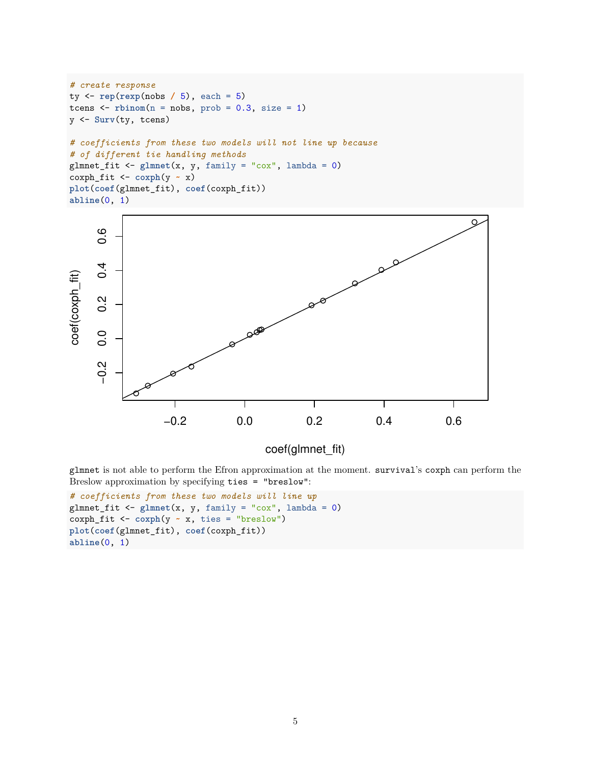```
# create response
ty <- rep(rexp(nobs / 5), each = 5)
tcens \le \rightarrow \quad \rightarrow \cdots \rightarrow \cdots \rightarrow \cdots \cdots \cdots \cdots \cdots \cdots \cdots \cdots \cdots \cdots \cdots \cdots \cdots \cdots \cdots \cdots \cdots \cdots \cdots \cdots \cdots \cdots \cdots \cdots \cdots \cdots \cdots \cdots \cdotsy <- Surv(ty, tcens)
# coefficients from these two models will not line up because
# of different tie handling methods
glmnet_fit <- glmnet(x, y, family = "cox", lambda = 0)
coxph_fit <- coxph(y ~ x)
plot(coef(glmnet_fit), coef(coxph_fit))
abline(0, 1)
```


# coef(glmnet\_fit)

glmnet is not able to perform the Efron approximation at the moment. survival's coxph can perform the Breslow approximation by specifying ties = "breslow":

```
# coefficients from these two models will line up
glmnet_fit <- glmnet(x, y, family = "cox", lambda = 0)
coxph_fit <- coxph(y ~ x, ties = "breslow")
plot(coef(glmnet_fit), coef(coxph_fit))
abline(0, 1)
```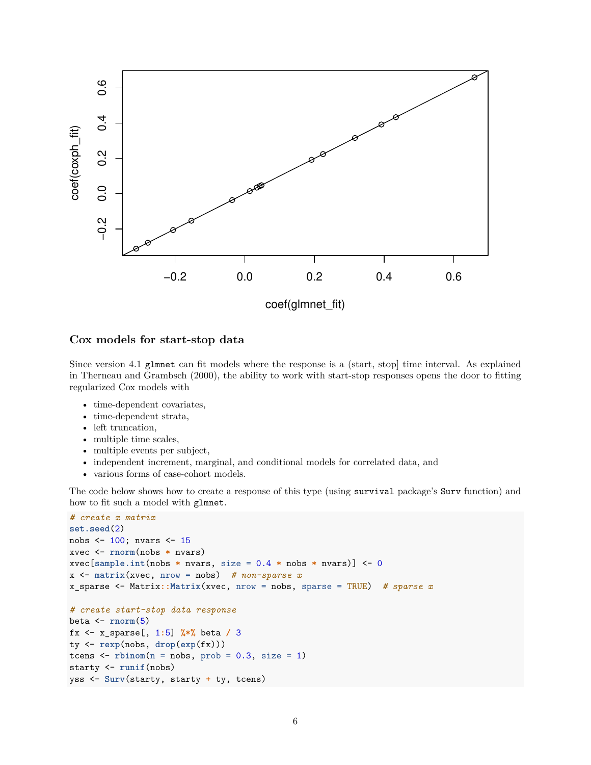

### <span id="page-5-0"></span>**Cox models for start-stop data**

Since version 4.1 glmnet can fit models where the response is a (start, stop] time interval. As explained in Therneau and Grambsch [\(2000\)](#page-11-2), the ability to work with start-stop responses opens the door to fitting regularized Cox models with

- time-dependent covariates,
- time-dependent strata,
- left truncation,
- multiple time scales,
- multiple events per subject,
- independent increment, marginal, and conditional models for correlated data, and
- various forms of case-cohort models.

The code below shows how to create a response of this type (using survival package's Surv function) and how to fit such a model with glmnet.

```
# create x matrix
set.seed(2)
nobs <- 100; nvars <- 15
xvec <- rnorm(nobs * nvars)
xvec[sample.int(nobs * nvars, size = 0.4 * nobs * nvars)] <- 0
x <- matrix(xvec, nrow = nobs) # non-sparse x
x_sparse <- Matrix::Matrix(xvec, nrow = nobs, sparse = TRUE) # sparse x
# create start-stop data response
beta <- rnorm(5)
fx <- x_sparse[, 1:5] %*% beta / 3
ty <- rexp(nobs, drop(exp(fx)))
tcens \leq rbinom(n = nobs, prob = 0.3, size = 1)starty <- runif(nobs)
yss <- Surv(starty, starty + ty, tcens)
```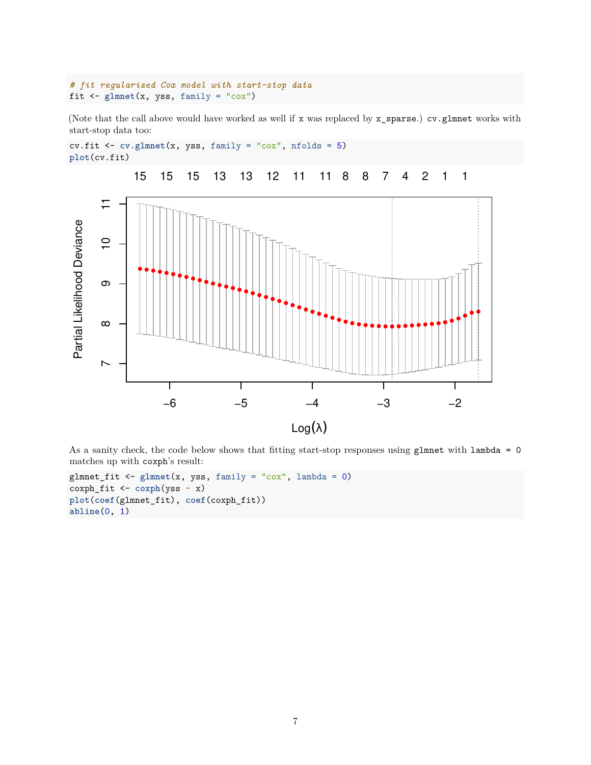```
# fit regularized Cox model with start-stop data
fit \leq glmnet(x, yss, family = "\cos")
```
(Note that the call above would have worked as well if x was replaced by x\_sparse.) cv.glmnet works with start-stop data too:

```
cv.fit <- cv.glmnet(x, yss, family = "cox", nfolds = 5)
plot(cv.fit)
```


As a sanity check, the code below shows that fitting start-stop responses using glmnet with lambda = 0 matches up with coxph's result:

```
glmnet_fit <- glmnet(x, yss, family = "cox", lambda = 0)
coxph_fit <- coxph(yss ~ x)
plot(coef(glmnet_fit), coef(coxph_fit))
abline(0, 1)
```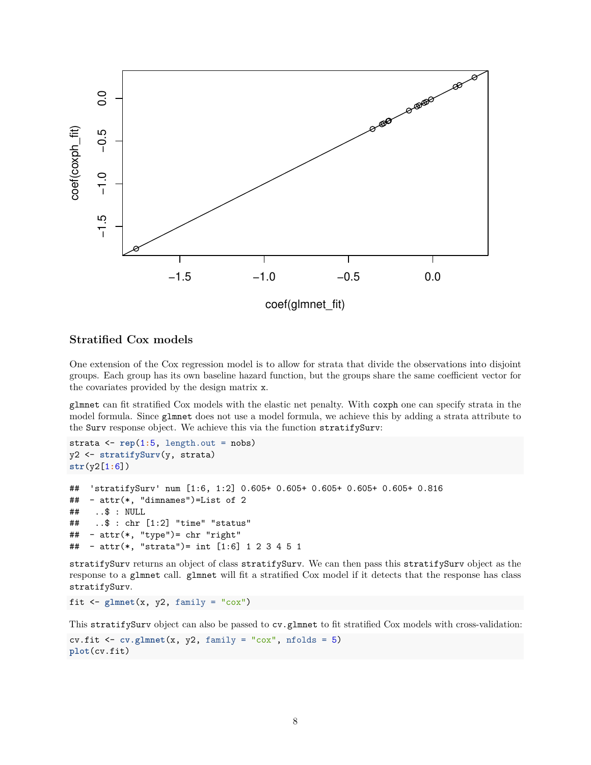

## <span id="page-7-0"></span>**Stratified Cox models**

One extension of the Cox regression model is to allow for strata that divide the observations into disjoint groups. Each group has its own baseline hazard function, but the groups share the same coefficient vector for the covariates provided by the design matrix x.

glmnet can fit stratified Cox models with the elastic net penalty. With coxph one can specify strata in the model formula. Since glmnet does not use a model formula, we achieve this by adding a strata attribute to the Surv response object. We achieve this via the function stratifySurv:

```
strata \leq rep(1:5, \text{length.out} = \text{nobs})y2 <- stratifySurv(y, strata)
str(y2[1:6])
## 'stratifySurv' num [1:6, 1:2] 0.605+ 0.605+ 0.605+ 0.605+ 0.605+ 0.816
## - attr(*, "dimnames")=List of 2
## ..$ : NULL
## ..$ : chr [1:2] "time" "status"
## - attr(*, "type")= chr "right"
## - attr(*, "strata")= int [1:6] 1 2 3 4 5 1
```
stratifySurv returns an object of class stratifySurv. We can then pass this stratifySurv object as the response to a glmnet call. glmnet will fit a stratified Cox model if it detects that the response has class stratifySurv.

fit  $\leq$  glmnet(x, y2, family = " $\cos$ ")

This stratifySurv object can also be passed to cv.glmnet to fit stratified Cox models with cross-validation:

```
cv.fit \leq cv.glmnet(x, y2, family = "cox", nfolds = 5)plot(cv.fit)
```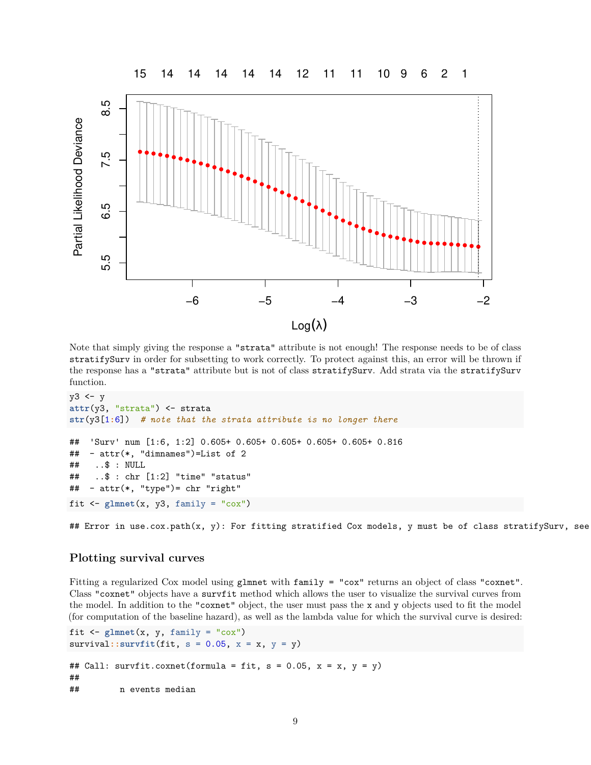

Note that simply giving the response a "strata" attribute is not enough! The response needs to be of class stratifySurv in order for subsetting to work correctly. To protect against this, an error will be thrown if the response has a "strata" attribute but is not of class stratifySurv. Add strata via the stratifySurv function.

```
y3 <- y
attr(y3, "strata") <- strata
str(y3[1:6]) # note that the strata attribute is no longer there
## 'Surv' num [1:6, 1:2] 0.605+ 0.605+ 0.605+ 0.605+ 0.605+ 0.816
## - attr(*, "dimnames")=List of 2
## ..$ : NULL
## ..$ : chr [1:2] "time" "status"
## - attr(*, "type")= chr "right"
fit \leq glmnet(x, y3, family = "\cos")
```
## Error in use.cox.path(x, y): For fitting stratified Cox models, y must be of class stratifySurv, see

### <span id="page-8-0"></span>**Plotting survival curves**

Fitting a regularized Cox model using glmnet with family = "cox" returns an object of class "coxnet". Class "coxnet" objects have a survfit method which allows the user to visualize the survival curves from the model. In addition to the "coxnet" object, the user must pass the x and y objects used to fit the model (for computation of the baseline hazard), as well as the lambda value for which the survival curve is desired:

```
fit \leq glmnet(x, y, family = "\cos")
survival::survfit(fit, s = 0.05, x = x, y = y)## Call: survfit.coxnet(formula = fit, s = 0.05, x = x, y = y)
##
## n events median
```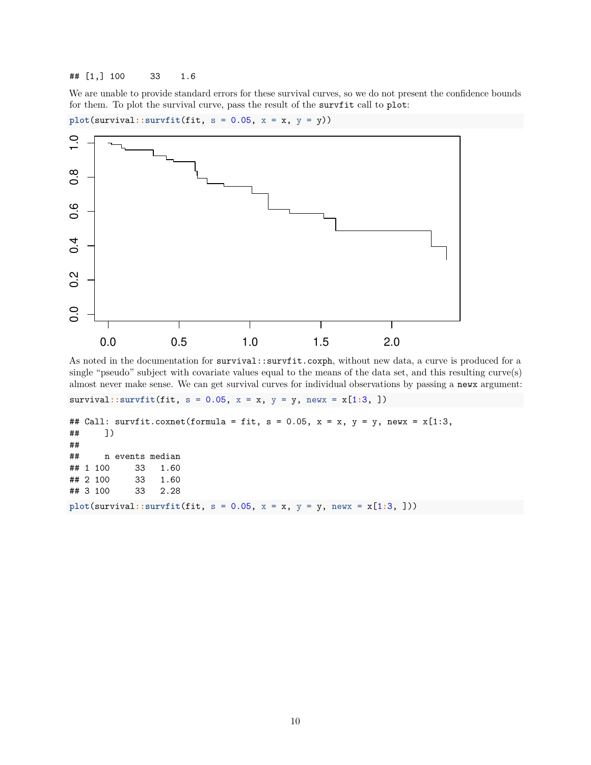## [1,] 100 33 1.6

We are unable to provide standard errors for these survival curves, so we do not present the confidence bounds for them. To plot the survival curve, pass the result of the survfit call to plot:

 $plot(survival::survfit(fit, s = 0.05, x = x, y = y))$ 



As noted in the documentation for survival::survfit.coxph, without new data, a curve is produced for a single "pseudo" subject with covariate values equal to the means of the data set, and this resulting curve(s) almost never make sense. We can get survival curves for individual observations by passing a newx argument:

```
survival::survfit(fit, s = 0.05, x = x, y = y, newx = x[1:3, ])
```

```
## Call: survfit.coxnet(formula = fit, s = 0.05, x = x, y = y, newx = x[1:3,## ])
##
## n events median
## 1 100 33 1.60
## 2 100 33 1.60
## 3 100 33 2.28
plot(survival::survfit(fit, s = 0.05, x = x, y = y, newx = x[1:3, ]))
```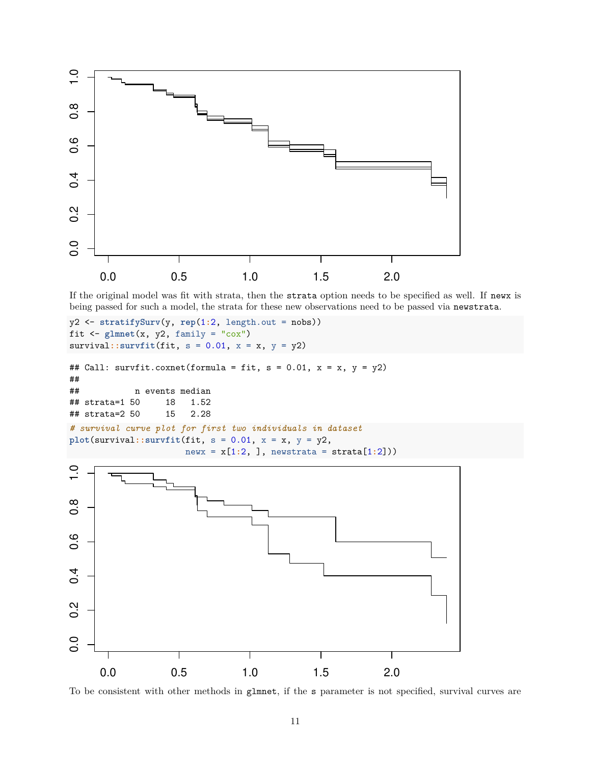

If the original model was fit with strata, then the strata option needs to be specified as well. If newx is being passed for such a model, the strata for these new observations need to be passed via newstrata.

```
y2 <- stratifySurv(y, rep(1:2, length.out = nobs))
fit \leq glmnet(x, y2, family = "\cos")
survival::survfit(fit, s = 0.01, x = x, y = y2)## Call: survfit.coxnet(formula = fit, s = 0.01, x = x, y = y2)
##
## n events median
## strata=1 50 18 1.52
```

```
## strata=2 50 15 2.28
# survival curve plot for first two individuals in dataset
plot(survival::survfit(fit, s = 0.01, x = x, y = y2,
```

```
newx = x[1:2, ], newstrata = strata[1:2]))
```


To be consistent with other methods in glmnet, if the s parameter is not specified, survival curves are